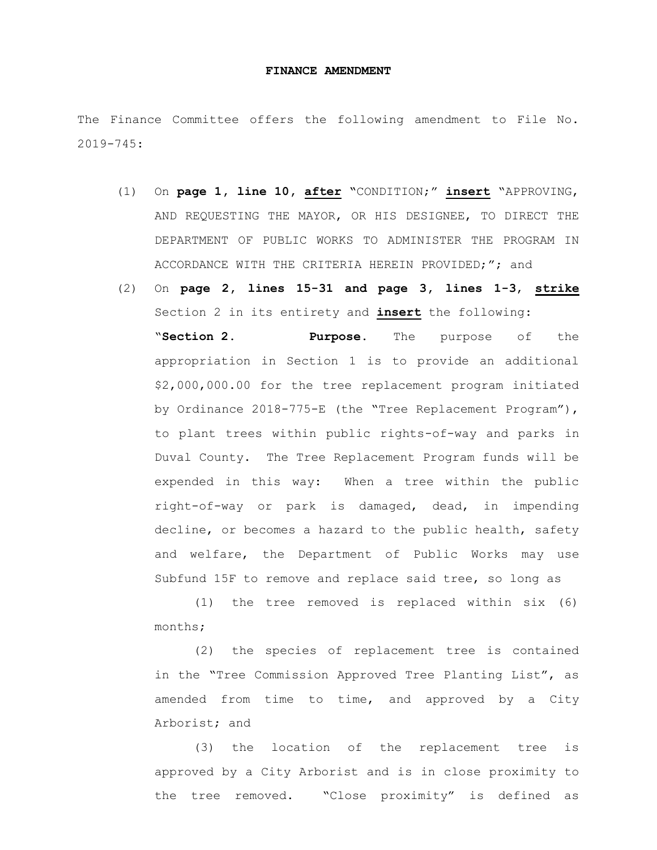## **FINANCE AMENDMENT**

The Finance Committee offers the following amendment to File No. 2019-745:

- (1) On **page 1, line 10, after "**CONDITION;" **insert** "APPROVING, AND REQUESTING THE MAYOR, OR HIS DESIGNEE, TO DIRECT THE DEPARTMENT OF PUBLIC WORKS TO ADMINISTER THE PROGRAM IN ACCORDANCE WITH THE CRITERIA HEREIN PROVIDED;"; and
- (2) On **page 2, lines 15-31 and page 3, lines 1-3**, **strike** Section 2 in its entirety and **insert** the following: "**Section 2. Purpose.** The purpose of the appropriation in Section 1 is to provide an additional \$2,000,000.00 for the tree replacement program initiated by Ordinance 2018-775-E (the "Tree Replacement Program"), to plant trees within public rights-of-way and parks in Duval County. The Tree Replacement Program funds will be expended in this way: When a tree within the public right-of-way or park is damaged, dead, in impending decline, or becomes a hazard to the public health, safety and welfare, the Department of Public Works may use Subfund 15F to remove and replace said tree, so long as

(1) the tree removed is replaced within six (6) months;

(2) the species of replacement tree is contained in the "Tree Commission Approved Tree Planting List", as amended from time to time, and approved by a City Arborist; and

(3) the location of the replacement tree is approved by a City Arborist and is in close proximity to the tree removed. "Close proximity" is defined as